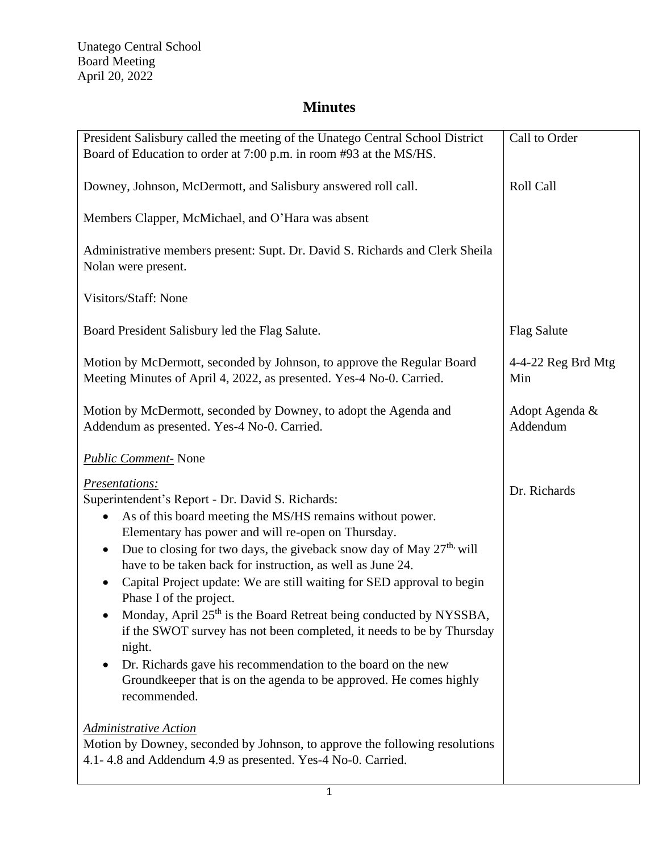## **Minutes**

| President Salisbury called the meeting of the Unatego Central School District                                                                                                                                                                                                                                                                                                                                                                                                                                                                                                                                                                                                                                                                                                                     | Call to Order               |
|---------------------------------------------------------------------------------------------------------------------------------------------------------------------------------------------------------------------------------------------------------------------------------------------------------------------------------------------------------------------------------------------------------------------------------------------------------------------------------------------------------------------------------------------------------------------------------------------------------------------------------------------------------------------------------------------------------------------------------------------------------------------------------------------------|-----------------------------|
| Board of Education to order at 7:00 p.m. in room #93 at the MS/HS.                                                                                                                                                                                                                                                                                                                                                                                                                                                                                                                                                                                                                                                                                                                                |                             |
| Downey, Johnson, McDermott, and Salisbury answered roll call.                                                                                                                                                                                                                                                                                                                                                                                                                                                                                                                                                                                                                                                                                                                                     | <b>Roll Call</b>            |
| Members Clapper, McMichael, and O'Hara was absent                                                                                                                                                                                                                                                                                                                                                                                                                                                                                                                                                                                                                                                                                                                                                 |                             |
| Administrative members present: Supt. Dr. David S. Richards and Clerk Sheila<br>Nolan were present.                                                                                                                                                                                                                                                                                                                                                                                                                                                                                                                                                                                                                                                                                               |                             |
| Visitors/Staff: None                                                                                                                                                                                                                                                                                                                                                                                                                                                                                                                                                                                                                                                                                                                                                                              |                             |
| Board President Salisbury led the Flag Salute.                                                                                                                                                                                                                                                                                                                                                                                                                                                                                                                                                                                                                                                                                                                                                    | <b>Flag Salute</b>          |
| Motion by McDermott, seconded by Johnson, to approve the Regular Board<br>Meeting Minutes of April 4, 2022, as presented. Yes-4 No-0. Carried.                                                                                                                                                                                                                                                                                                                                                                                                                                                                                                                                                                                                                                                    | $4-4-22$ Reg Brd Mtg<br>Min |
| Motion by McDermott, seconded by Downey, to adopt the Agenda and<br>Addendum as presented. Yes-4 No-0. Carried.                                                                                                                                                                                                                                                                                                                                                                                                                                                                                                                                                                                                                                                                                   | Adopt Agenda &<br>Addendum  |
| <b>Public Comment-</b> None                                                                                                                                                                                                                                                                                                                                                                                                                                                                                                                                                                                                                                                                                                                                                                       |                             |
| Presentations:<br>Superintendent's Report - Dr. David S. Richards:<br>As of this board meeting the MS/HS remains without power.<br>$\bullet$<br>Elementary has power and will re-open on Thursday.<br>Due to closing for two days, the giveback snow day of May 27 <sup>th,</sup> will<br>$\bullet$<br>have to be taken back for instruction, as well as June 24.<br>Capital Project update: We are still waiting for SED approval to begin<br>Phase I of the project.<br>Monday, April 25 <sup>th</sup> is the Board Retreat being conducted by NYSSBA,<br>if the SWOT survey has not been completed, it needs to be by Thursday<br>night.<br>Dr. Richards gave his recommendation to the board on the new<br>Groundkeeper that is on the agenda to be approved. He comes highly<br>recommended. | Dr. Richards                |
| <b>Administrative Action</b>                                                                                                                                                                                                                                                                                                                                                                                                                                                                                                                                                                                                                                                                                                                                                                      |                             |
| Motion by Downey, seconded by Johnson, to approve the following resolutions<br>4.1-4.8 and Addendum 4.9 as presented. Yes-4 No-0. Carried.                                                                                                                                                                                                                                                                                                                                                                                                                                                                                                                                                                                                                                                        |                             |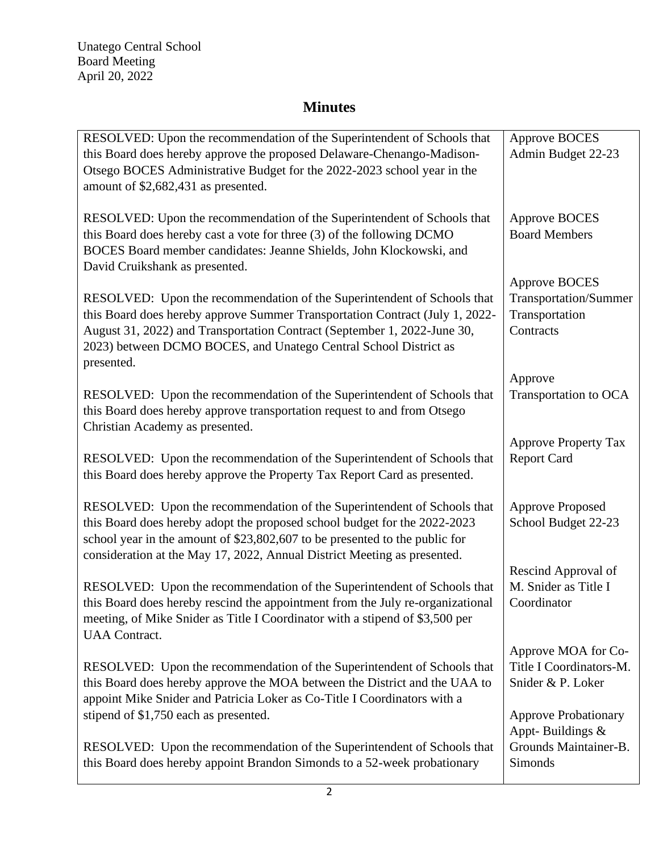## **Minutes**

| RESOLVED: Upon the recommendation of the Superintendent of Schools that<br>this Board does hereby approve the proposed Delaware-Chenango-Madison-<br>Otsego BOCES Administrative Budget for the 2022-2023 school year in the<br>amount of \$2,682,431 as presented.                                                                           | <b>Approve BOCES</b><br>Admin Budget 22-23                                                         |
|-----------------------------------------------------------------------------------------------------------------------------------------------------------------------------------------------------------------------------------------------------------------------------------------------------------------------------------------------|----------------------------------------------------------------------------------------------------|
| RESOLVED: Upon the recommendation of the Superintendent of Schools that<br>this Board does hereby cast a vote for three (3) of the following DCMO<br>BOCES Board member candidates: Jeanne Shields, John Klockowski, and<br>David Cruikshank as presented.                                                                                    | <b>Approve BOCES</b><br><b>Board Members</b>                                                       |
| RESOLVED: Upon the recommendation of the Superintendent of Schools that<br>this Board does hereby approve Summer Transportation Contract (July 1, 2022-<br>August 31, 2022) and Transportation Contract (September 1, 2022-June 30,<br>2023) between DCMO BOCES, and Unatego Central School District as<br>presented.                         | <b>Approve BOCES</b><br>Transportation/Summer<br>Transportation<br>Contracts                       |
| RESOLVED: Upon the recommendation of the Superintendent of Schools that<br>this Board does hereby approve transportation request to and from Otsego<br>Christian Academy as presented.                                                                                                                                                        | Approve<br>Transportation to OCA                                                                   |
| RESOLVED: Upon the recommendation of the Superintendent of Schools that<br>this Board does hereby approve the Property Tax Report Card as presented.                                                                                                                                                                                          | <b>Approve Property Tax</b><br><b>Report Card</b>                                                  |
| RESOLVED: Upon the recommendation of the Superintendent of Schools that<br>this Board does hereby adopt the proposed school budget for the 2022-2023<br>school year in the amount of \$23,802,607 to be presented to the public for                                                                                                           | <b>Approve Proposed</b><br>School Budget 22-23                                                     |
| consideration at the May 17, 2022, Annual District Meeting as presented.<br>RESOLVED: Upon the recommendation of the Superintendent of Schools that<br>this Board does hereby rescind the appointment from the July re-organizational<br>meeting, of Mike Snider as Title I Coordinator with a stipend of \$3,500 per<br><b>UAA</b> Contract. | Rescind Approval of<br>M. Snider as Title I<br>Coordinator                                         |
| RESOLVED: Upon the recommendation of the Superintendent of Schools that<br>this Board does hereby approve the MOA between the District and the UAA to<br>appoint Mike Snider and Patricia Loker as Co-Title I Coordinators with a<br>stipend of \$1,750 each as presented.                                                                    | Approve MOA for Co-<br>Title I Coordinators-M.<br>Snider & P. Loker<br><b>Approve Probationary</b> |
| RESOLVED: Upon the recommendation of the Superintendent of Schools that<br>this Board does hereby appoint Brandon Simonds to a 52-week probationary                                                                                                                                                                                           | Appt-Buildings &<br>Grounds Maintainer-B.<br>Simonds                                               |